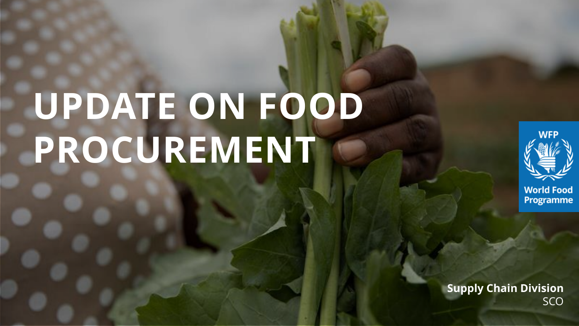# **UPDATE ON FOOD PROCUREMENT**

**2022 annual session of the Executive Board**



**World Food** Programme

**Supply Chain Division SCO**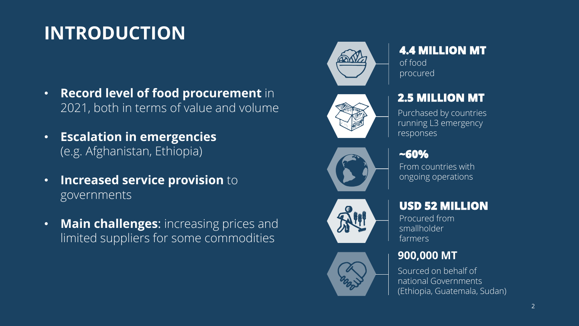# **INTRODUCTION**

- **Record level of food procurement** in 2021, both in terms of value and volume
- **Escalation in emergencies**  (e.g. Afghanistan, Ethiopia)
- **Increased service provision** to governments
- **Main challenges**: increasing prices and limited suppliers for some commodities



#### **4.4 MILLION MT**

of food procured



#### **2.5 MILLION MT**

Purchased by countries running L3 emergency responses



#### **~60%**

From countries with ongoing operations



#### **USD 52 MILLION**

Procured from smallholder farmers

#### **900,000 MT**

Sourced on behalf of national Governments (Ethiopia, Guatemala, Sudan)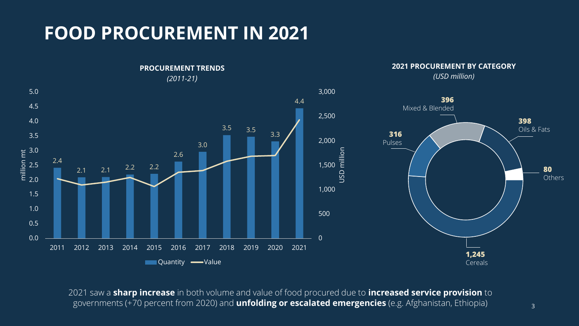## **FOOD PROCUREMENT IN 2021**



2021 saw a **sharp increase** in both volume and value of food procured due to **increased service provision** to governments (+70 percent from 2020) and **unfolding or escalated emergencies** (e.g. Afghanistan, Ethiopia)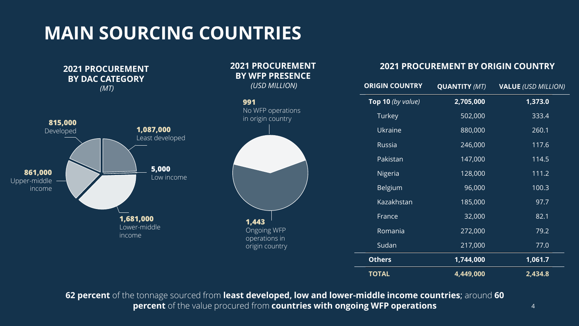**MAIN SOURCING COUNTRIES**



**62 percent** of the tonnage sourced from **least developed, low and lower-middle income countries**; around **60 percent** of the value procured from **countries with ongoing WFP operations**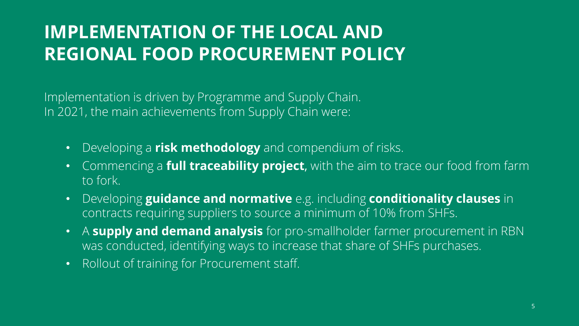## **IMPLEMENTATION OF THE LOCAL AND REGIONAL FOOD PROCUREMENT POLICY**

Implementation is driven by Programme and Supply Chain. In 2021, the main achievements from Supply Chain were:

- Developing a **risk methodology** and compendium of risks.
- Commencing a **full traceability project**, with the aim to trace our food from farm to fork.
- Developing **guidance and normative** e.g. including **conditionality clauses** in contracts requiring suppliers to source a minimum of 10% from SHFs.
- A **supply and demand analysis** for pro-smallholder farmer procurement in RBN was conducted, identifying ways to increase that share of SHFs purchases.
- Rollout of training for Procurement staff.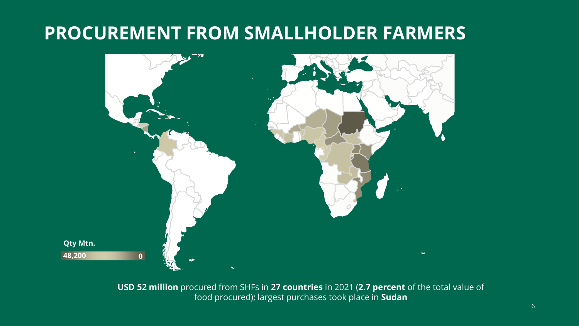#### **PROCUREMENT FROM SMALLHOLDER FARMERS**



**USD 52 million** procured from SHFs in **27 countries** in 2021 (**2.7 percent** of the total value of food procured); largest purchases took place in **Sudan**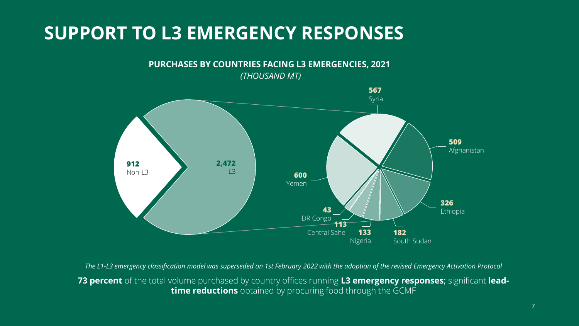### **SUPPORT TO L3 EMERGENCY RESPONSES**



*The L1-L3 emergency classification model was superseded on 1st February 2022 with the adoption of the revised Emergency Activation Protocol*

**73 percent** of the total volume purchased by country offices running **L3 emergency responses**; significant **leadtime reductions** obtained by procuring food through the GCMF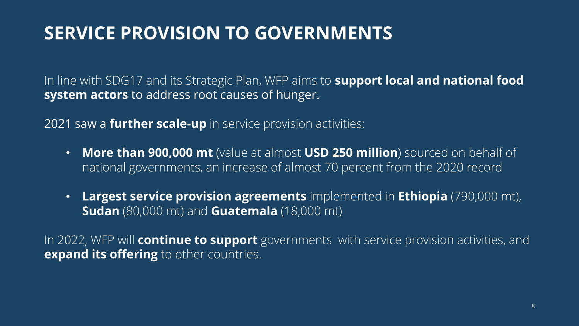## **SERVICE PROVISION TO GOVERNMENTS**

In line with SDG17 and its Strategic Plan, WFP aims to **support local and national food system actors** to address root causes of hunger.

2021 saw a **further scale-up** in service provision activities:

- **More than 900,000 mt** (value at almost **USD 250 million**) sourced on behalf of national governments, an increase of almost 70 percent from the 2020 record
- **Largest service provision agreements** implemented in **Ethiopia** (790,000 mt), **Sudan** (80,000 mt) and **Guatemala** (18,000 mt)

In 2022, WFP will **continue to support** governments with service provision activities, and **expand its offering** to other countries.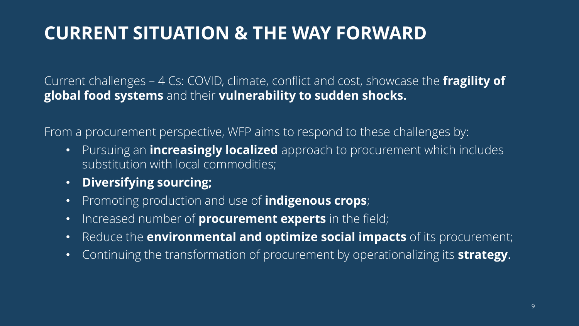## **CURRENT SITUATION & THE WAY FORWARD**

Current challenges – 4 Cs: COVID, climate, conflict and cost, showcase the **fragility of global food systems** and their **vulnerability to sudden shocks.**

From a procurement perspective, WFP aims to respond to these challenges by:

- Pursuing an **increasingly localized** approach to procurement which includes substitution with local commodities;
- **Diversifying sourcing;**
- Promoting production and use of **indigenous crops**;
- Increased number of **procurement experts** in the field;
- Reduce the **environmental and optimize social impacts** of its procurement;
- Continuing the transformation of procurement by operationalizing its **strategy**.